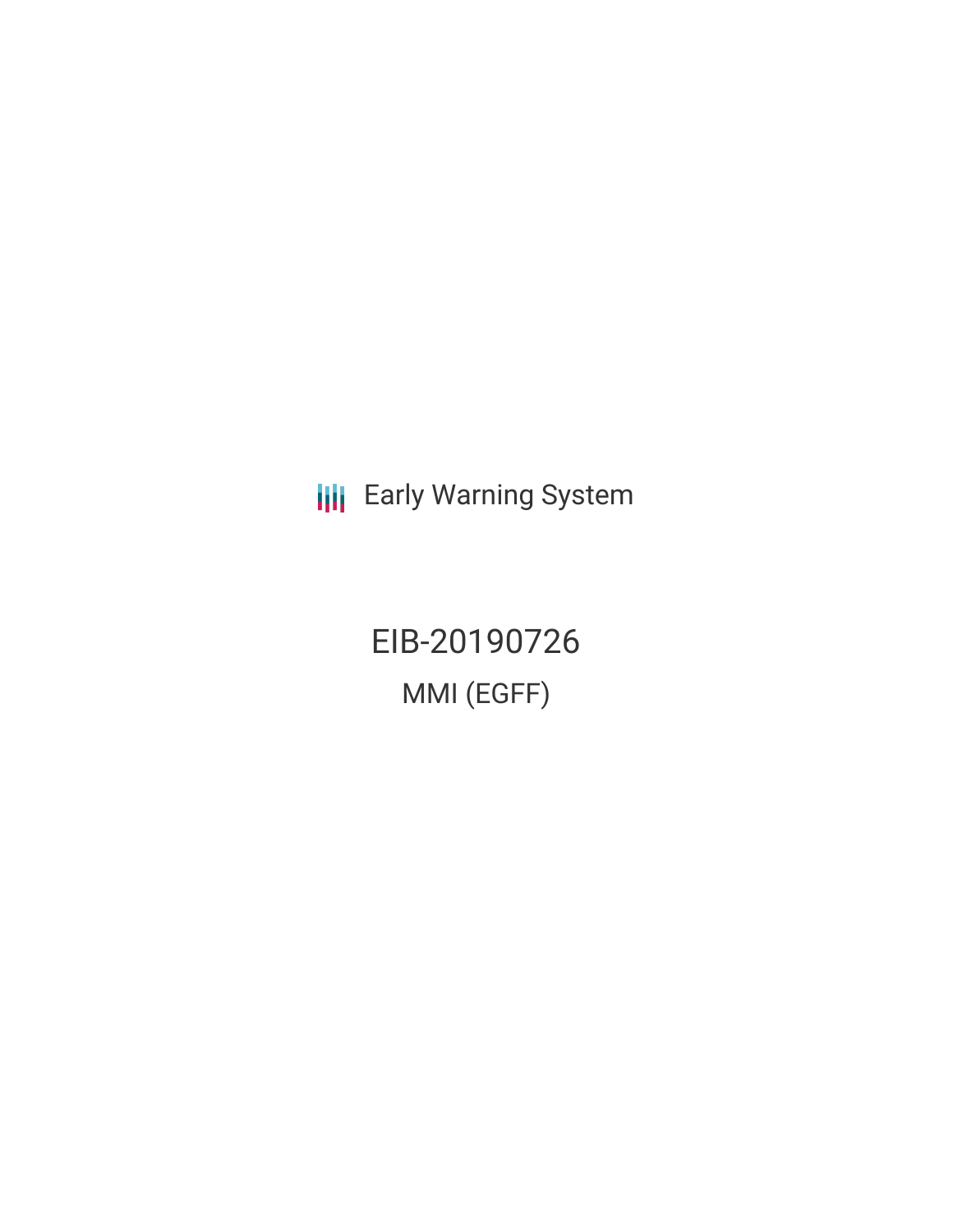**III** Early Warning System

EIB-20190726 MMI (EGFF)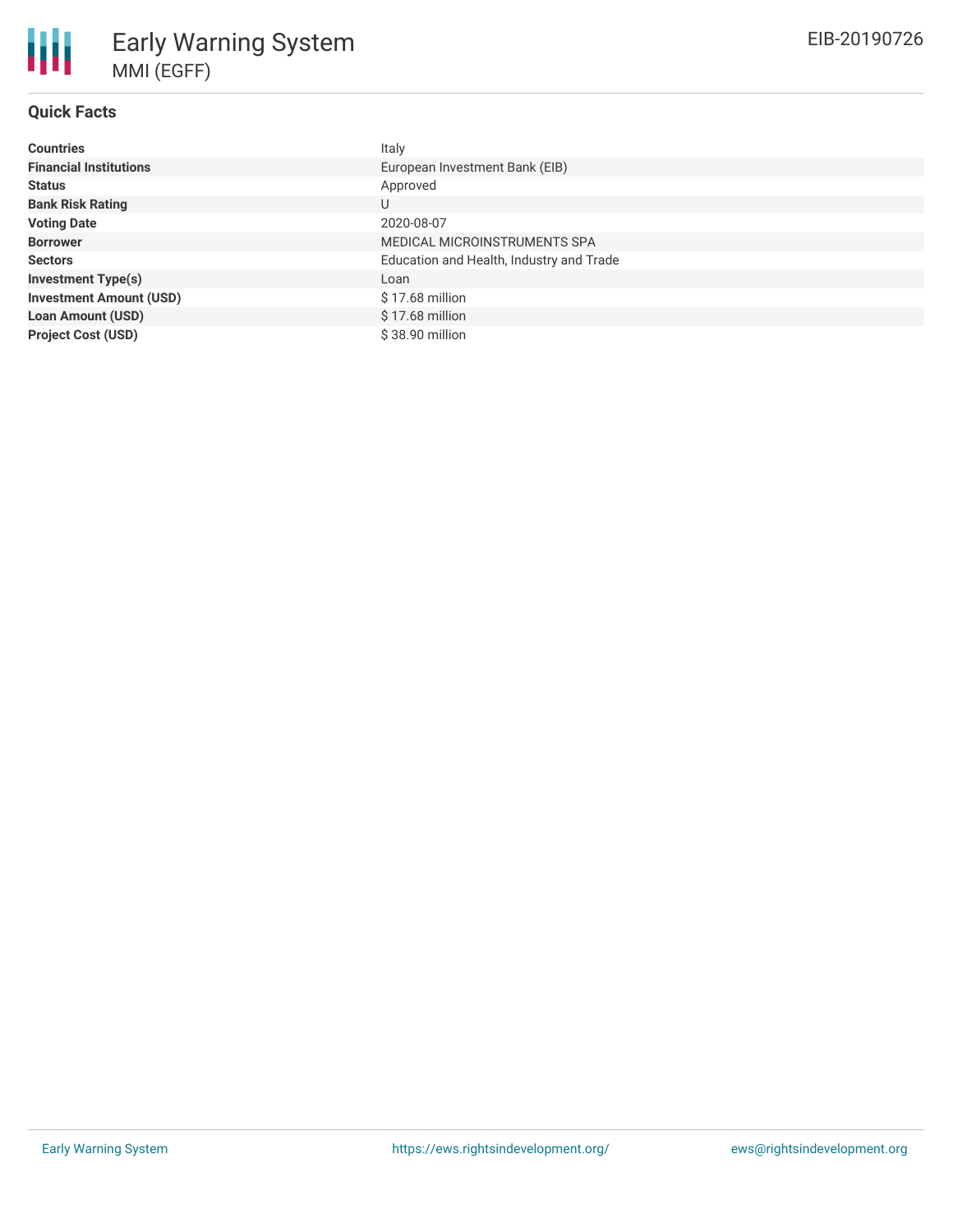## **Quick Facts**

| <b>Countries</b>               | Italy                                    |
|--------------------------------|------------------------------------------|
| <b>Financial Institutions</b>  | European Investment Bank (EIB)           |
| <b>Status</b>                  | Approved                                 |
| <b>Bank Risk Rating</b>        | U                                        |
| <b>Voting Date</b>             | 2020-08-07                               |
| <b>Borrower</b>                | MEDICAL MICROINSTRUMENTS SPA             |
| <b>Sectors</b>                 | Education and Health, Industry and Trade |
| <b>Investment Type(s)</b>      | Loan                                     |
| <b>Investment Amount (USD)</b> | \$17.68 million                          |
| <b>Loan Amount (USD)</b>       | $$17.68$ million                         |
| <b>Project Cost (USD)</b>      | \$38.90 million                          |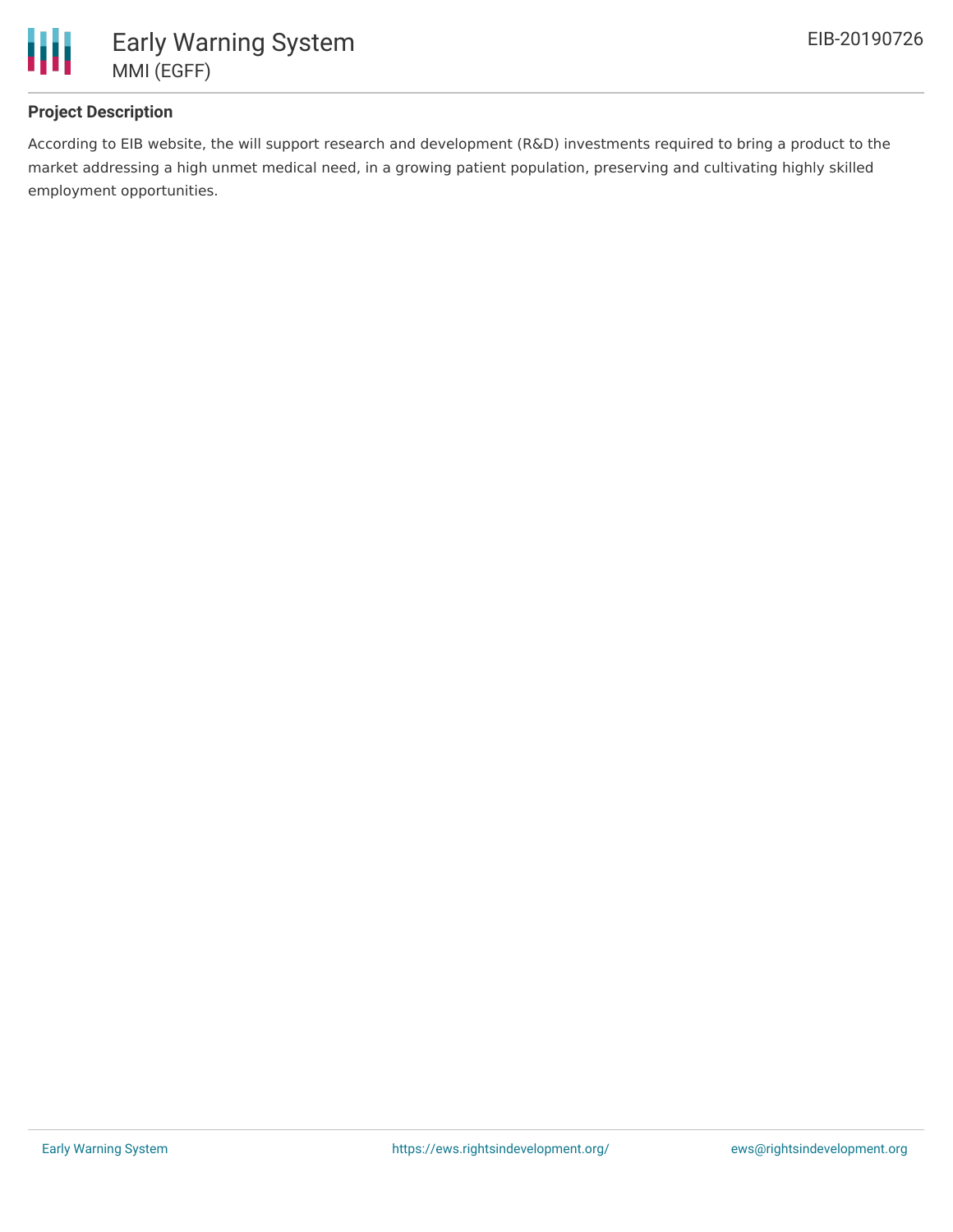

## **Project Description**

According to EIB website, the will support research and development (R&D) investments required to bring a product to the market addressing a high unmet medical need, in a growing patient population, preserving and cultivating highly skilled employment opportunities.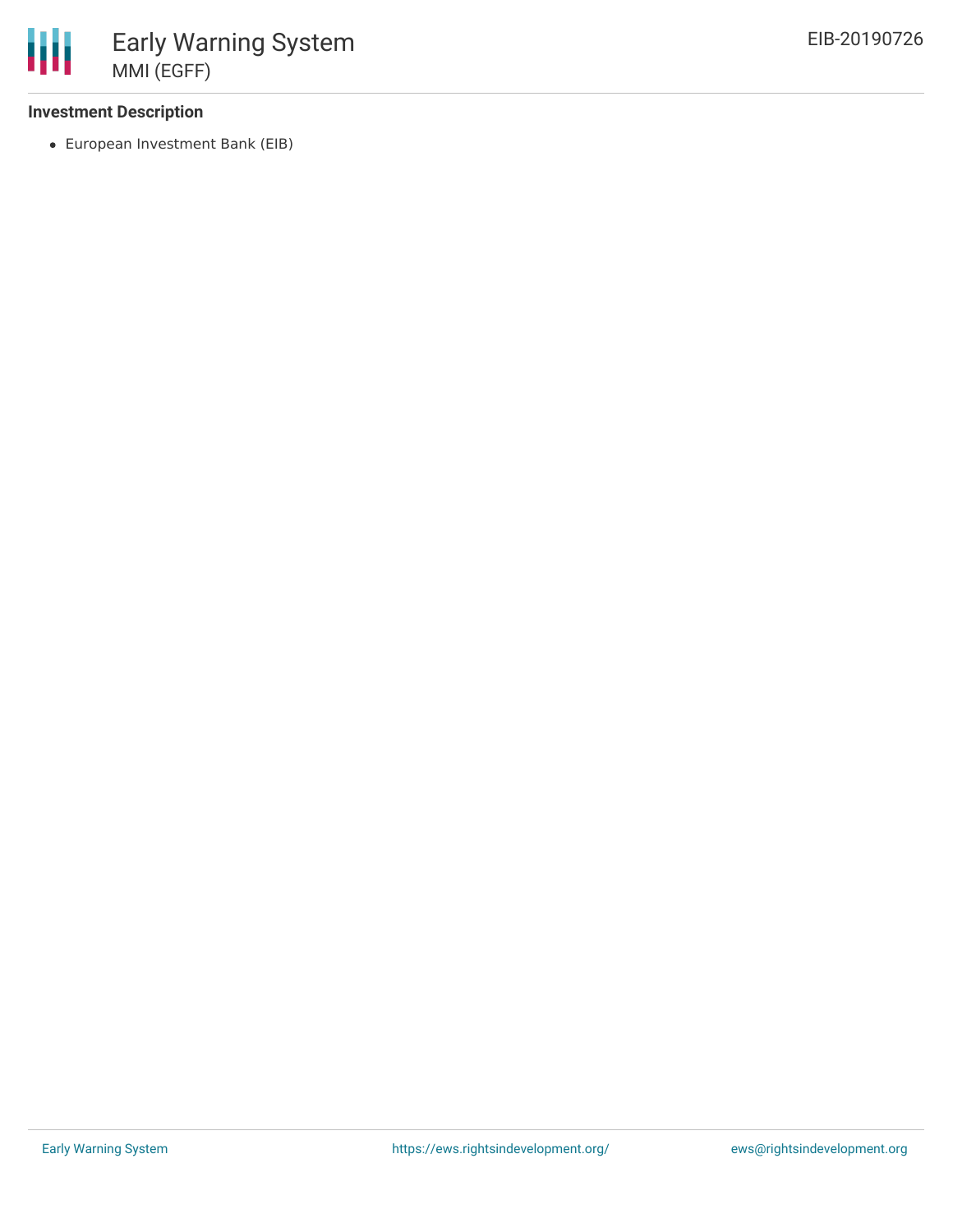## **Investment Description**

European Investment Bank (EIB)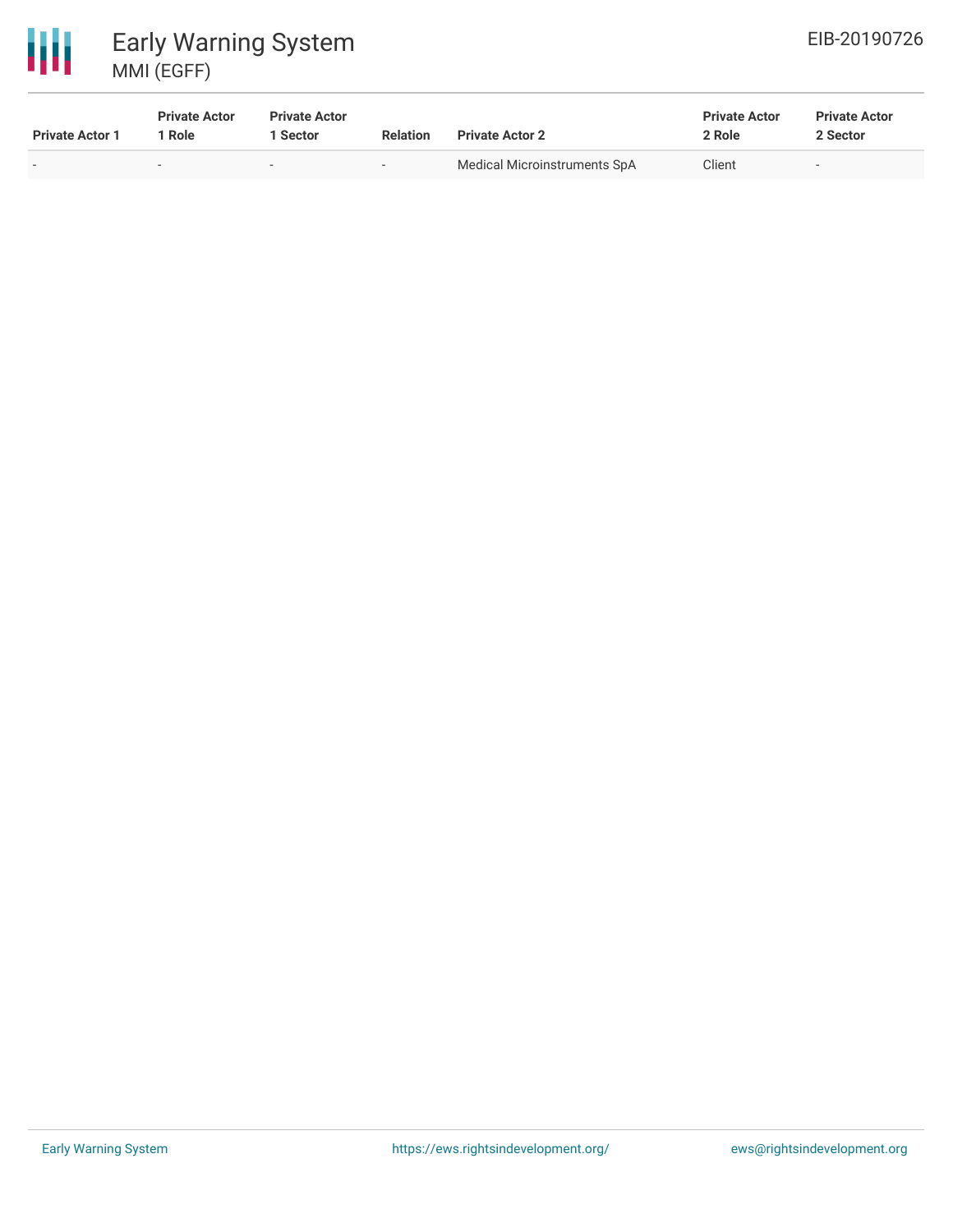

# 冊 Early Warning System MMI (EGFF)

| <b>Private Actor 1</b> | <b>Private Actor</b><br>1 Role | <b>Private Actor</b><br><b>Sector</b> | <b>Relation</b> | <b>Private Actor 2</b>       | <b>Private Actor</b><br>2 Role | <b>Private Actor</b><br>2 Sector |
|------------------------|--------------------------------|---------------------------------------|-----------------|------------------------------|--------------------------------|----------------------------------|
|                        | $\overline{\phantom{a}}$       | $\overline{\phantom{a}}$              | $\sim$          | Medical Microinstruments SpA | Client                         | $\overline{\phantom{a}}$         |